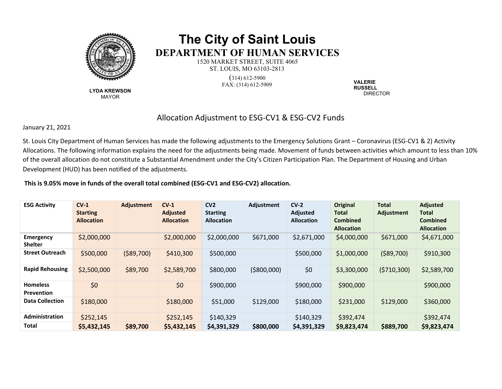

**LYDA KREWSON** MAYOR

## **The City of Saint Louis DEPARTMENT OF HUMAN SERVICES**

1520 MARKET STREET, SUITE 4065 ST. LOUIS, MO 63103-2813 (314) 612-5900 FAX: (314) 612-5909 **VALERIE**

**RUSSELL** DIRECTOR

## Allocation Adjustment to ESG-CV1 & ESG-CV2 Funds

January 21, 2021

St. Louis City Department of Human Services has made the following adjustments to the Emergency Solutions Grant – Coronavirus (ESG-CV1 & 2) Activity Allocations. The following information explains the need for the adjustments being made. Movement of funds between activities which amount to less than 10% of the overall allocation do not constitute a Substantial Amendment under the City's Citizen Participation Plan. The Department of Housing and Urban Development (HUD) has been notified of the adjustments.

## **This is 9.05% move in funds of the overall total combined (ESG-CV1 and ESG-CV2) allocation.**

| <b>ESG Activity</b>                | $CV-1$<br><b>Starting</b><br><b>Allocation</b> | Adjustment  | $CV-1$<br><b>Adjusted</b><br><b>Allocation</b> | CV <sub>2</sub><br><b>Starting</b><br><b>Allocation</b> | Adjustment   | $CV-2$<br><b>Adjusted</b><br><b>Allocation</b> | <b>Original</b><br>Total<br><b>Combined</b><br><b>Allocation</b> | <b>Total</b><br>Adjustment | <b>Adjusted</b><br><b>Total</b><br><b>Combined</b><br><b>Allocation</b> |
|------------------------------------|------------------------------------------------|-------------|------------------------------------------------|---------------------------------------------------------|--------------|------------------------------------------------|------------------------------------------------------------------|----------------------------|-------------------------------------------------------------------------|
| <b>Emergency</b><br><b>Shelter</b> | \$2,000,000                                    |             | \$2,000,000                                    | \$2,000,000                                             | \$671,000    | \$2,671,000                                    | \$4,000,000                                                      | \$671,000                  | \$4,671,000                                                             |
| <b>Street Outreach</b>             | \$500,000                                      | ( \$89,700) | \$410,300                                      | \$500,000                                               |              | \$500,000                                      | \$1,000,000                                                      | ( \$89,700)                | \$910,300                                                               |
| <b>Rapid Rehousing</b>             | \$2,500,000                                    | \$89,700    | \$2,589,700                                    | \$800,000                                               | ( \$800,000) | \$0                                            | \$3,300,000                                                      | (5710, 300)                | \$2,589,700                                                             |
| <b>Homeless</b><br>Prevention      | \$0                                            |             | \$0                                            | \$900,000                                               |              | \$900,000                                      | \$900,000                                                        |                            | \$900,000                                                               |
| <b>Data Collection</b>             | \$180,000                                      |             | \$180,000                                      | \$51,000                                                | \$129,000    | \$180,000                                      | \$231,000                                                        | \$129,000                  | \$360,000                                                               |
| <b>Administration</b>              | \$252,145                                      |             | \$252,145                                      | \$140,329                                               |              | \$140,329                                      | \$392,474                                                        |                            | \$392,474                                                               |
| Total                              | \$5,432,145                                    | \$89,700    | \$5,432,145                                    | \$4,391,329                                             | \$800,000    | \$4,391,329                                    | \$9,823,474                                                      | \$889,700                  | \$9,823,474                                                             |